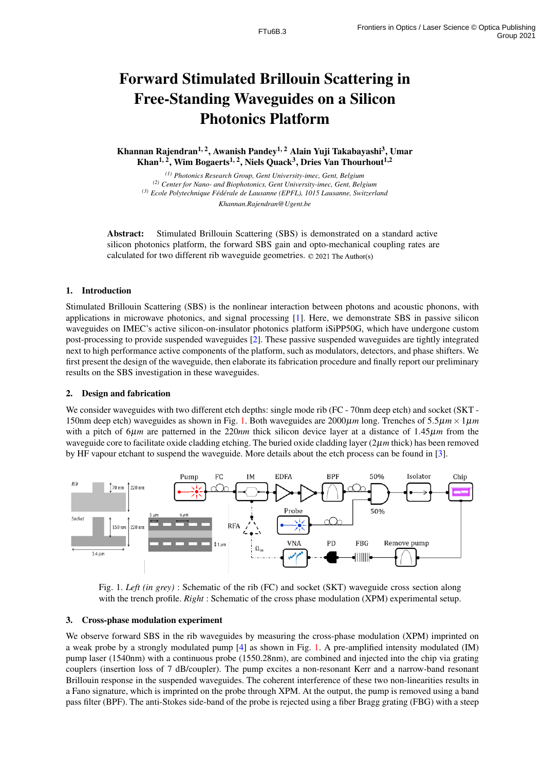# Forward Stimulated Brillouin Scattering in Free-Standing Waveguides on a Silicon Photonics Platform

Khannan Rajendran<sup>1, 2</sup>, Awanish Pandey<sup>1, 2</sup> Alain Yuji Takabayashi<sup>3</sup>, Umar Khan<sup>1, 2</sup>, Wim Bogaerts<sup>1, 2</sup>, Niels Quack<sup>3</sup>, Dries Van Thourhout<sup>1,2</sup>

*(1) Photonics Research Group, Gent University-imec, Gent, Belgium (2) Center for Nano- and Biophotonics, Gent University-imec, Gent, Belgium (3) Ecole Polytechnique Fed´ erale de Lausanne (EPFL), 1015 Lausanne, Switzerland ´ Khannan.Rajendran@Ugent.be*

Abstract: Stimulated Brillouin Scattering (SBS) is demonstrated on a standard active silicon photonics platform, the forward SBS gain and opto-mechanical coupling rates are calculated for two different rib waveguide geometries. © 2021 The Author(s)

# 1. Introduction

Stimulated Brillouin Scattering (SBS) is the nonlinear interaction between photons and acoustic phonons, with applications in microwave photonics, and signal processing [\[1\]](#page-1-0). Here, we demonstrate SBS in passive silicon waveguides on IMEC's active silicon-on-insulator photonics platform iSiPP50G, which have undergone custom post-processing to provide suspended waveguides [\[2\]](#page-1-1). These passive suspended waveguides are tightly integrated next to high performance active components of the platform, such as modulators, detectors, and phase shifters. We first present the design of the waveguide, then elaborate its fabrication procedure and finally report our preliminary results on the SBS investigation in these waveguides.

# 2. Design and fabrication

We consider waveguides with two different etch depths: single mode rib (FC - 70nm deep etch) and socket (SKT -150nm deep etch) waveguides as shown in Fig. [1.](#page-0-0) Both waveguides are  $2000\mu m$  long. Trenches of  $5.5\mu m \times 1\mu m$ with a pitch of 6µ*m* are patterned in the 220*nm* thick silicon device layer at a distance of 1.45µ*m* from the waveguide core to facilitate oxide cladding etching. The buried oxide cladding layer (2µ*m* thick) has been removed by HF vapour etchant to suspend the waveguide. More details about the etch process can be found in [\[3\]](#page-1-2).



<span id="page-0-0"></span>Fig. 1. *Left (in grey)* : Schematic of the rib (FC) and socket (SKT) waveguide cross section along with the trench profile. *Right* : Schematic of the cross phase modulation (XPM) experimental setup.

# 3. Cross-phase modulation experiment

We observe forward SBS in the rib waveguides by measuring the cross-phase modulation (XPM) imprinted on a weak probe by a strongly modulated pump [\[4\]](#page-1-3) as shown in Fig. [1.](#page-0-0) A pre-amplified intensity modulated (IM) pump laser (1540nm) with a continuous probe (1550.28nm), are combined and injected into the chip via grating couplers (insertion loss of 7 dB/coupler). The pump excites a non-resonant Kerr and a narrow-band resonant Brillouin response in the suspended waveguides. The coherent interference of these two non-linearities results in a Fano signature, which is imprinted on the probe through XPM. At the output, the pump is removed using a band pass filter (BPF). The anti-Stokes side-band of the probe is rejected using a fiber Bragg grating (FBG) with a steep